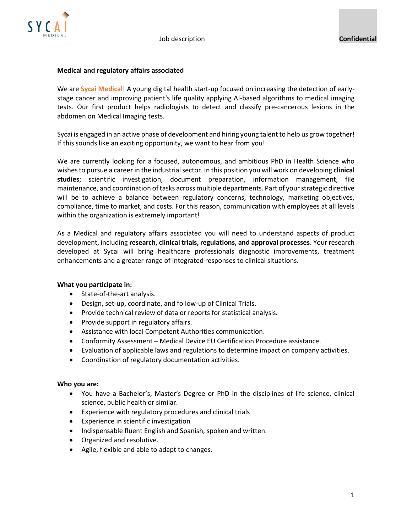

## **Medical and regulatory affairs associated**

We are **Sycai Medical**! A young digital health start-up focused on increasing the detection of earlystage cancer and improving patient's life quality applying AI-based algorithms to medical imaging tests. Our first product helps radiologists to detect and classify pre-cancerous lesions in the abdomen on Medical Imaging tests.

Sycai is engaged in an active phase of development and hiring young talent to help us grow together! If this sounds like an exciting opportunity, we want to hear from you!

We are currently looking for a focused, autonomous, and ambitious PhD in Health Science who wishes to pursue a career in the industrial sector. In this position you will work on developing **clinical studies**; scientific investigation, document preparation, information management, file maintenance, and coordination of tasks across multiple departments. Part of your strategic directive will be to achieve a balance between regulatory concerns, technology, marketing objectives, compliance, time to market, and costs. For this reason, communication with employees at all levels within the organization is extremely important!

As a Medical and regulatory affairs associated you will need to understand aspects of product development, including **research, clinical trials, regulations, and approval processes**. Your research developed at Sycai will bring healthcare professionals diagnostic improvements, treatment enhancements and a greater range of integrated responses to clinical situations.

## **What you participate in:**

- State-of-the-art analysis.
- Design, set-up, coordinate, and follow-up of Clinical Trials.
- Provide technical review of data or reports for statistical analysis.
- Provide support in regulatory affairs.
- Assistance with local Competent Authorities communication.
- Conformity Assessment Medical Device EU Certification Procedure assistance.
- Evaluation of applicable laws and regulations to determine impact on company activities.
- Coordination of regulatory documentation activities.

## **Who you are:**

- You have a Bachelor's, Master's Degree or PhD in the disciplines of life science, clinical science, public health or similar.
- Experience with regulatory procedures and clinical trials
- Experience in scientific investigation
- Indispensable fluent English and Spanish, spoken and written.
- Organized and resolutive.
- Agile, flexible and able to adapt to changes.